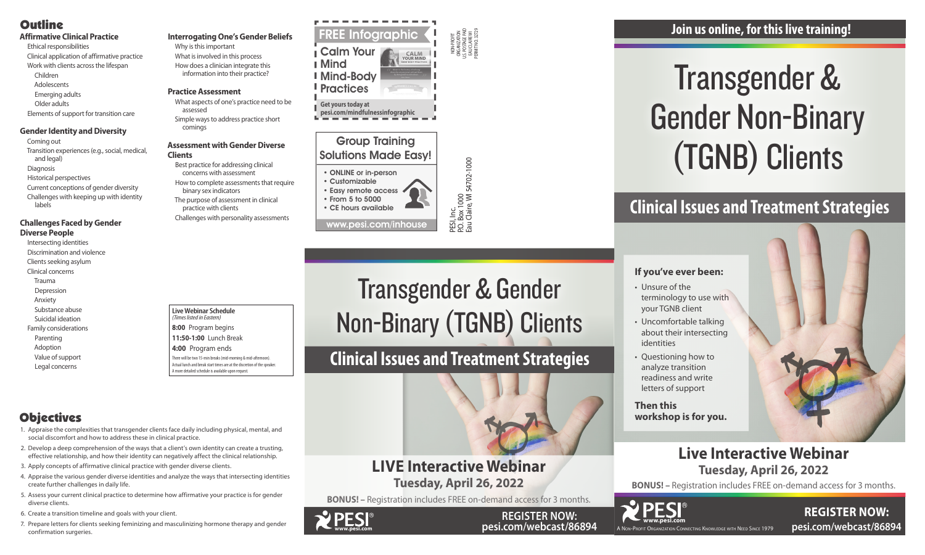A Non-Profit Organization Connecting Knowledge with Need Since 1979



**REGISTER NOW: pesi.com/webcast/86894**

PESI, Inc.<br>P.O. Box 1000<br>Eau Claire, WI 54702-1000 P.O. Box 1000 Eau Claire, WI 54702-1000

#### NON-PROFIT ORGANIZATION U.S. POSTAGE PAID EAU CLAIRE WI PERMIT NO. 32729

#### *<u>Broup</u> Training* Solutions Made Easy! **EXERCISE 2: 7 - 11**  $\sim$  cus

# **Live Interactive Webinar Tuesday, April 26, 2022**

**BONUS! –** Registration includes FREE on-demand access for 3 months.

• CE hours available

#### **Live Webinar Schedule**  *(Times listed in Eastern)* **8:00** Program begins

**11:50-1:00** Lunch Break

- **4:00** Program ends
- There will be two 15-min breaks (mid-morning & mid-afternoon). Actual lunch and break start times are at the discretion of the speake A more detailed schedule is available upon request.

# **Objectives**

# Transgender & Gender Non-Binary (TGNB) Clients

### **If you've ever been:**



- Unsure of the terminology to use with your TGNB client
- Uncomfortable talking about their intersecting identities
- Questioning how to analyze transition readiness and write letters of support
- **Then this workshop is for you.**

# **Clinical Issues and Treatment Strategies**

# **Join us online, for this live training!**

# **Clinical Issues and Treatment Strategies**





**REGISTER NOW: pesi.com/webcast/86894**



# **Outline**

- **Affirmative Clinical Practice**
- Ethical responsibilities Clinical application of affirmative practice Work with clients across the lifespan Children
- Adolescents
- Emerging adults
- 
- Older adults
- Elements of support for transition care

# **Gender Identity and Diversity**

- Coming out
- Transition experiences (e.g., social, medical, and legal)
- Diagnosis
- Historical perspectives
- Current conceptions of gender diversity
- Challenges with keeping up with identity labels

#### **Challenges Faced by Gender Diverse People**

- Intersecting identities
- Discrimination and violence
- Clients seeking asylum Clinical concerns
- Trauma
- Depression
- Anxiety
- Substance abuse
- Suicidal ideation
- Family considerations
- Parenting Adoption
- Value of support Legal concerns

# **Interrogating One's Gender Beliefs** Why is this important

What is involved in this process How does a clinician integrate this information into their practice?

## **Practice Assessment**

- What aspects of one's practice need to be assessed
- Simple ways to address practice short comings

## **Assessment with Gender Diverse Clients**

emotions? - -

- Best practice for addressing clinical concerns with assessment How to complete assessments that require
- binary sex indicators The purpose of assessment in clinical
- practice with clients Challenges with personality assessments

- 1. Appraise the complexities that transgender clients face daily including physical, mental, and social discomfort and how to address these in clinical practice.
- 2. Develop a deep comprehension of the ways that a client's own identity can create a trusting, effective relationship, and how their identity can negatively affect the clinical relationship.
- 3. Apply concepts of affirmative clinical practice with gender diverse clients.
- 4. Appraise the various gender diverse identities and analyze the ways that intersecting identities create further challenges in daily life.
- 5. Assess your current clinical practice to determine how affirmative your practice is for gender diverse clients.
- 6. Create a transition timeline and goals with your client.
- 7. Prepare letters for clients seeking feminizing and masculinizing hormone therapy and gender confirmation surgeries.

• Customizable • Easy remote access • From 5 to 5000 It has been found that the optimal breathing for long-term focus, empathy, social reasoning and attachment *The number of thoughts the average person has in one day!*

www.pesi.com/inhouse



#### Transgender & Gender **Non-Binary (TGNB) Clients**  $\sf UIOS$ depression, ADHD, and more FEATURING **Learn more mind-body practices in this online course** llidl **PESI P.O. Box 1000 Eau Claire, WI 54702-1000 Phone: (800) 844-8260 Email: info@pesi.com www.pesi.com** ©2018 PESI, Inc., All Rights Reserved

2

**<sup>E</sup>XERCIS<sup>E</sup> <sup>3</sup>: <sup>H</sup>.A.L.T.**

• ONLINE or in-person

# **LIVE Interactive Webinar Tuesday, April 26, 2022**

**BONUS! –** Registration includes FREE on-demand access for 3 months.